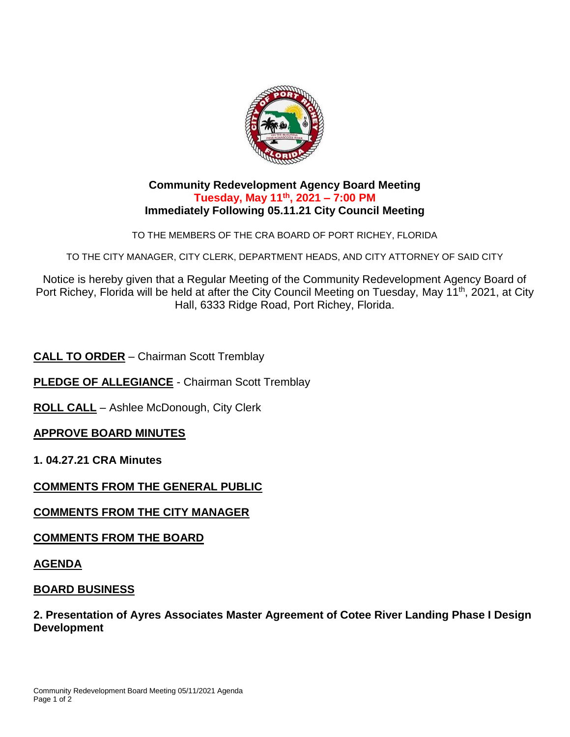

### **Community Redevelopment Agency Board Meeting Tuesday, May 11th, 2021 – 7:00 PM Immediately Following 05.11.21 City Council Meeting**

TO THE MEMBERS OF THE CRA BOARD OF PORT RICHEY, FLORIDA

TO THE CITY MANAGER, CITY CLERK, DEPARTMENT HEADS, AND CITY ATTORNEY OF SAID CITY

Notice is hereby given that a Regular Meeting of the Community Redevelopment Agency Board of Port Richey, Florida will be held at after the City Council Meeting on Tuesday, May 11<sup>th</sup>, 2021, at City Hall, 6333 Ridge Road, Port Richey, Florida.

**CALL TO ORDER** – Chairman Scott Tremblay

**PLEDGE OF ALLEGIANCE** - Chairman Scott Tremblay

**ROLL CALL** – Ashlee McDonough, City Clerk

## **APPROVE BOARD MINUTES**

**1. 04.27.21 CRA Minutes** 

## **COMMENTS FROM THE GENERAL PUBLIC**

## **COMMENTS FROM THE CITY MANAGER**

**COMMENTS FROM THE BOARD**

#### **AGENDA**

### **BOARD BUSINESS**

**2. Presentation of Ayres Associates Master Agreement of Cotee River Landing Phase I Design Development**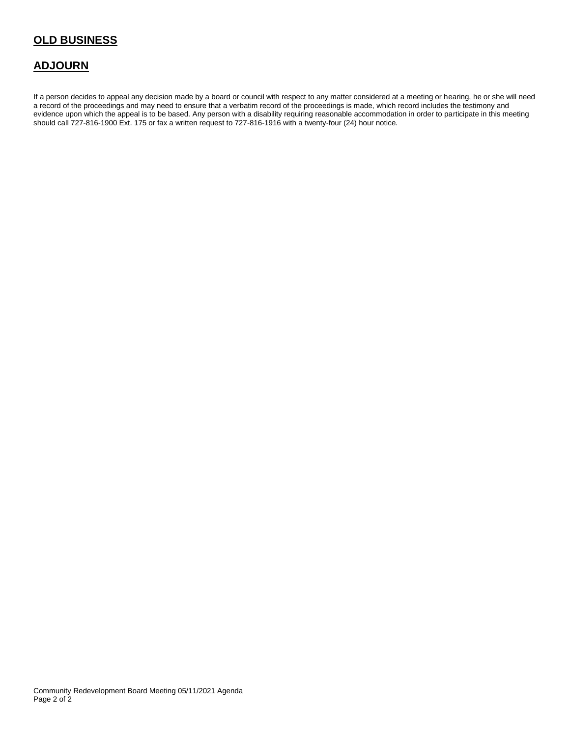## **OLD BUSINESS**

## **ADJOURN**

If a person decides to appeal any decision made by a board or council with respect to any matter considered at a meeting or hearing, he or she will need a record of the proceedings and may need to ensure that a verbatim record of the proceedings is made, which record includes the testimony and evidence upon which the appeal is to be based. Any person with a disability requiring reasonable accommodation in order to participate in this meeting should call 727-816-1900 Ext. 175 or fax a written request to 727-816-1916 with a twenty-four (24) hour notice.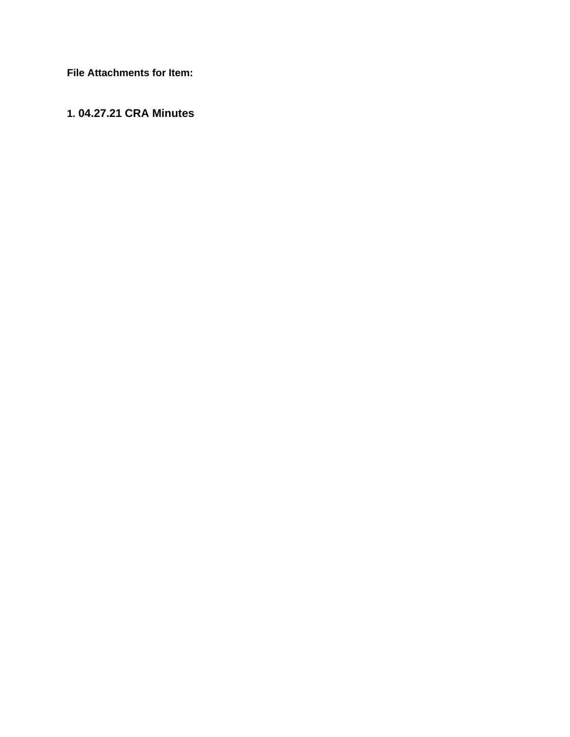**File Attachments for Item:**

## **1. 04.27.21 CRA Minutes**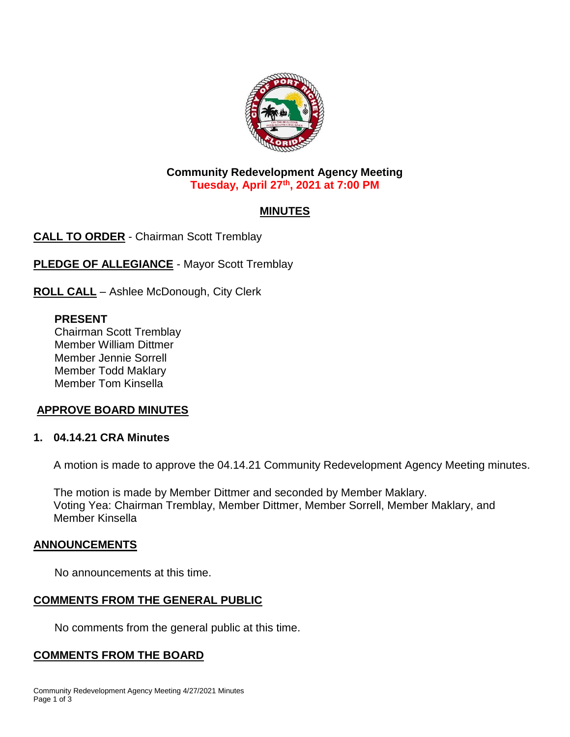

### **Community Redevelopment Agency Meeting Tuesday, April 27th, 2021 at 7:00 PM**

# **MINUTES**

**CALL TO ORDER** - Chairman Scott Tremblay

**PLEDGE OF ALLEGIANCE** - Mayor Scott Tremblay

**ROLL CALL** – Ashlee McDonough, City Clerk

### **PRESENT**

Chairman Scott Tremblay Member William Dittmer Member Jennie Sorrell Member Todd Maklary Member Tom Kinsella

## **APPROVE BOARD MINUTES**

## **1. 04.14.21 CRA Minutes**

A motion is made to approve the 04.14.21 Community Redevelopment Agency Meeting minutes.

The motion is made by Member Dittmer and seconded by Member Maklary. Voting Yea: Chairman Tremblay, Member Dittmer, Member Sorrell, Member Maklary, and Member Kinsella

### **ANNOUNCEMENTS**

No announcements at this time.

## **COMMENTS FROM THE GENERAL PUBLIC**

No comments from the general public at this time.

### **COMMENTS FROM THE BOARD**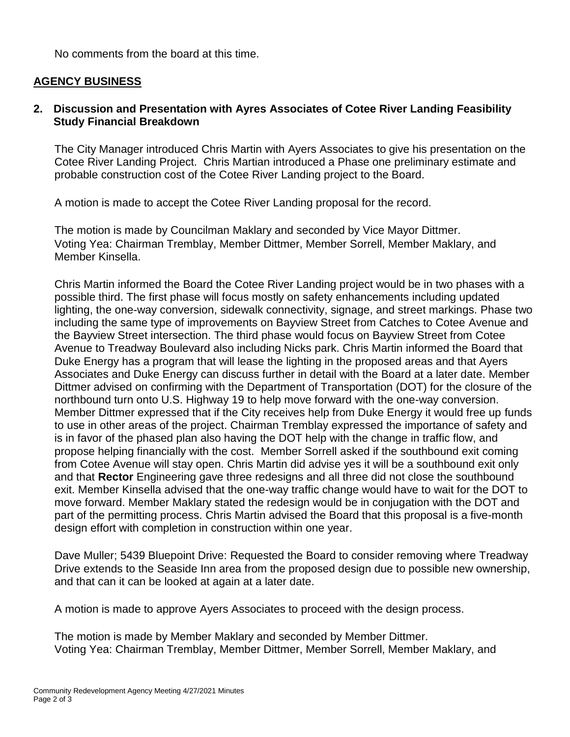No comments from the board at this time.

### **AGENCY BUSINESS**

### **2. Discussion and Presentation with Ayres Associates of Cotee River Landing Feasibility Study Financial Breakdown**

The City Manager introduced Chris Martin with Ayers Associates to give his presentation on the Cotee River Landing Project. Chris Martian introduced a Phase one preliminary estimate and probable construction cost of the Cotee River Landing project to the Board.

A motion is made to accept the Cotee River Landing proposal for the record.

The motion is made by Councilman Maklary and seconded by Vice Mayor Dittmer. Voting Yea: Chairman Tremblay, Member Dittmer, Member Sorrell, Member Maklary, and Member Kinsella.

Chris Martin informed the Board the Cotee River Landing project would be in two phases with a possible third. The first phase will focus mostly on safety enhancements including updated lighting, the one-way conversion, sidewalk connectivity, signage, and street markings. Phase two including the same type of improvements on Bayview Street from Catches to Cotee Avenue and the Bayview Street intersection. The third phase would focus on Bayview Street from Cotee Avenue to Treadway Boulevard also including Nicks park. Chris Martin informed the Board that Duke Energy has a program that will lease the lighting in the proposed areas and that Ayers Associates and Duke Energy can discuss further in detail with the Board at a later date. Member Dittmer advised on confirming with the Department of Transportation (DOT) for the closure of the northbound turn onto U.S. Highway 19 to help move forward with the one-way conversion. Member Dittmer expressed that if the City receives help from Duke Energy it would free up funds to use in other areas of the project. Chairman Tremblay expressed the importance of safety and is in favor of the phased plan also having the DOT help with the change in traffic flow, and propose helping financially with the cost. Member Sorrell asked if the southbound exit coming from Cotee Avenue will stay open. Chris Martin did advise yes it will be a southbound exit only and that **Rector** Engineering gave three redesigns and all three did not close the southbound exit. Member Kinsella advised that the one-way traffic change would have to wait for the DOT to move forward. Member Maklary stated the redesign would be in conjugation with the DOT and part of the permitting process. Chris Martin advised the Board that this proposal is a five-month design effort with completion in construction within one year.

Dave Muller; 5439 Bluepoint Drive: Requested the Board to consider removing where Treadway Drive extends to the Seaside Inn area from the proposed design due to possible new ownership, and that can it can be looked at again at a later date.

A motion is made to approve Ayers Associates to proceed with the design process.

The motion is made by Member Maklary and seconded by Member Dittmer. Voting Yea: Chairman Tremblay, Member Dittmer, Member Sorrell, Member Maklary, and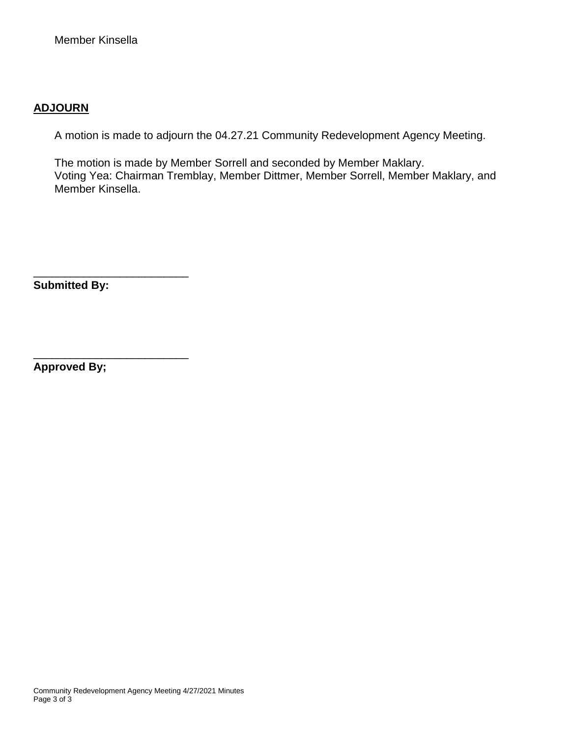## **ADJOURN**

A motion is made to adjourn the 04.27.21 Community Redevelopment Agency Meeting.

The motion is made by Member Sorrell and seconded by Member Maklary. Voting Yea: Chairman Tremblay, Member Dittmer, Member Sorrell, Member Maklary, and Member Kinsella.

**Submitted By:**

\_\_\_\_\_\_\_\_\_\_\_\_\_\_\_\_\_\_\_\_\_\_\_\_\_

\_\_\_\_\_\_\_\_\_\_\_\_\_\_\_\_\_\_\_\_\_\_\_\_\_

**Approved By;**